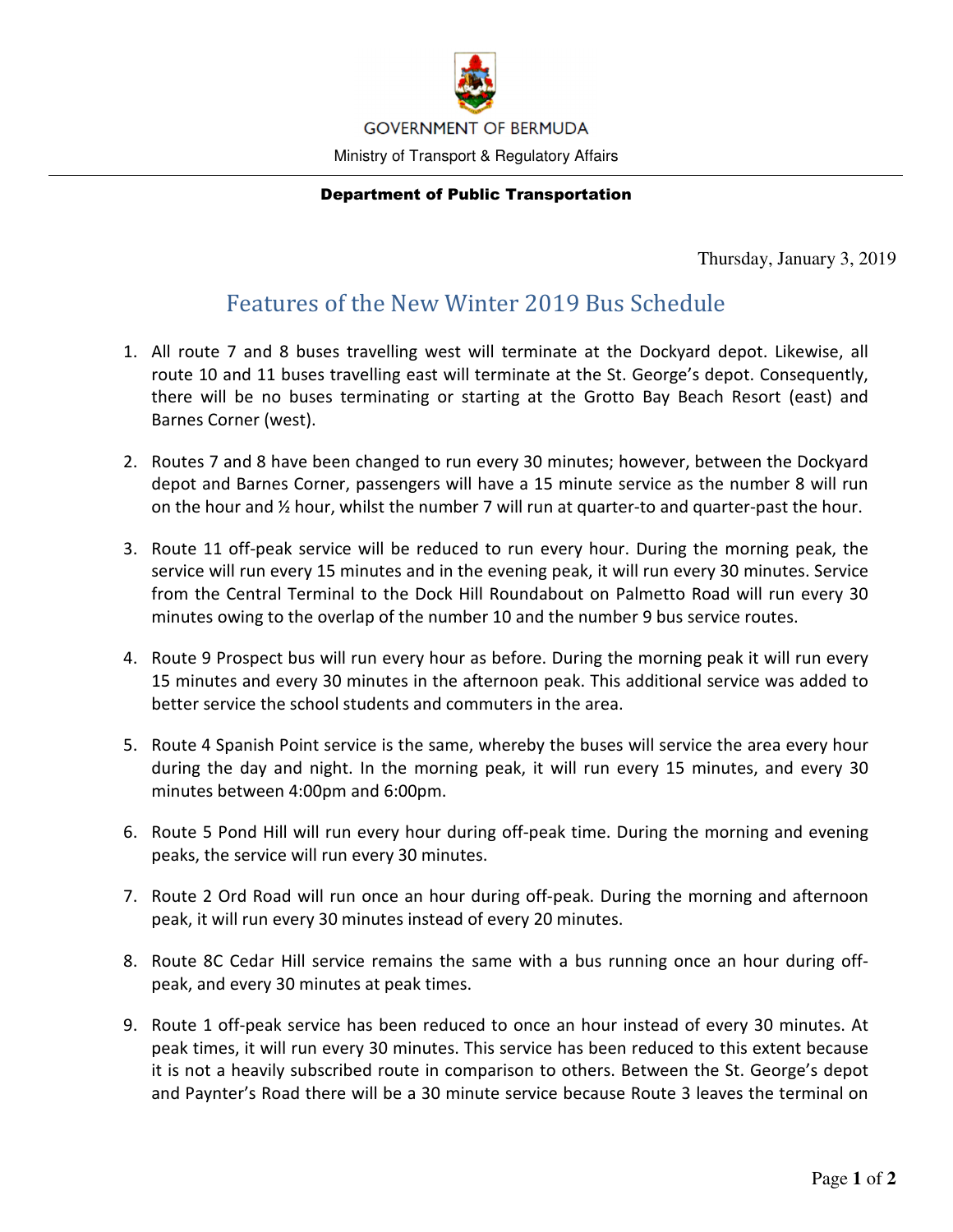

## Department of Public Transportation

Thursday, January 3, 2019

## Features of the New Winter 2019 Bus Schedule

- 1. All route 7 and 8 buses travelling west will terminate at the Dockyard depot. Likewise, all route 10 and 11 buses travelling east will terminate at the St. George's depot. Consequently, there will be no buses terminating or starting at the Grotto Bay Beach Resort (east) and Barnes Corner (west).
- 2. Routes 7 and 8 have been changed to run every 30 minutes; however, between the Dockyard depot and Barnes Corner, passengers will have a 15 minute service as the number 8 will run on the hour and  $\frac{1}{2}$  hour, whilst the number 7 will run at quarter-to and quarter-past the hour.
- 3. Route 11 off-peak service will be reduced to run every hour. During the morning peak, the service will run every 15 minutes and in the evening peak, it will run every 30 minutes. Service from the Central Terminal to the Dock Hill Roundabout on Palmetto Road will run every 30 minutes owing to the overlap of the number 10 and the number 9 bus service routes.
- 4. Route 9 Prospect bus will run every hour as before. During the morning peak it will run every 15 minutes and every 30 minutes in the afternoon peak. This additional service was added to better service the school students and commuters in the area.
- 5. Route 4 Spanish Point service is the same, whereby the buses will service the area every hour during the day and night. In the morning peak, it will run every 15 minutes, and every 30 minutes between 4:00pm and 6:00pm.
- 6. Route 5 Pond Hill will run every hour during off-peak time. During the morning and evening peaks, the service will run every 30 minutes.
- 7. Route 2 Ord Road will run once an hour during off-peak. During the morning and afternoon peak, it will run every 30 minutes instead of every 20 minutes.
- 8. Route 8C Cedar Hill service remains the same with a bus running once an hour during offpeak, and every 30 minutes at peak times.
- 9. Route 1 off-peak service has been reduced to once an hour instead of every 30 minutes. At peak times, it will run every 30 minutes. This service has been reduced to this extent because it is not a heavily subscribed route in comparison to others. Between the St. George's depot and Paynter's Road there will be a 30 minute service because Route 3 leaves the terminal on